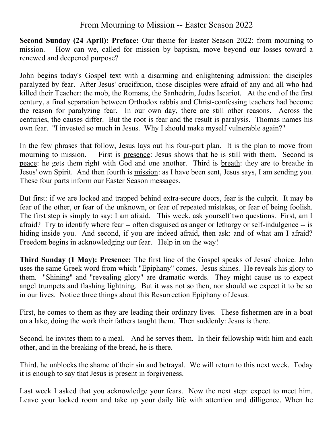## From Mourning to Mission -- Easter Season 2022

**Second Sunday (24 April): Preface:** Our theme for Easter Season 2022: from mourning to mission. How can we, called for mission by baptism, move beyond our losses toward a renewed and deepened purpose?

John begins today's Gospel text with a disarming and enlightening admission: the disciples paralyzed by fear. After Jesus' crucifixion, those disciples were afraid of any and all who had killed their Teacher: the mob, the Romans, the Sanhedrin, Judas Iscariot. At the end of the first century, a final separation between Orthodox rabbis and Christ-confessing teachers had become the reason for paralyzing fear. In our own day, there are still other reasons. Across the centuries, the causes differ. But the root is fear and the result is paralysis. Thomas names his own fear. "I invested so much in Jesus. Why I should make myself vulnerable again?"

In the few phrases that follow, Jesus lays out his four-part plan. It is the plan to move from mourning to mission. First is presence: Jesus shows that he is still with them. Second is peace: he gets them right with God and one another. Third is breath: they are to breathe in Jesus' own Spirit. And then fourth is mission: as I have been sent, Jesus says, I am sending you. These four parts inform our Easter Season messages.

But first: if we are locked and trapped behind extra-secure doors, fear is the culprit. It may be fear of the other, or fear of the unknown, or fear of repeated mistakes, or fear of being foolish. The first step is simply to say: I am afraid. This week, ask yourself two questions. First, am I afraid? Try to identify where fear -- often disguised as anger or lethargy or self-indulgence -- is hiding inside you. And second, if you are indeed afraid, then ask: and of what am I afraid? Freedom begins in acknowledging our fear. Help in on the way!

**Third Sunday (1 May): Presence:** The first line of the Gospel speaks of Jesus' choice. John uses the same Greek word from which "Epiphany" comes. Jesus shines. He reveals his glory to them. "Shining" and "revealing glory" are dramatic words. They might cause us to expect angel trumpets and flashing lightning. But it was not so then, nor should we expect it to be so in our lives. Notice three things about this Resurrection Epiphany of Jesus.

First, he comes to them as they are leading their ordinary lives. These fishermen are in a boat on a lake, doing the work their fathers taught them. Then suddenly: Jesus is there.

Second, he invites them to a meal. And he serves them. In their fellowship with him and each other, and in the breaking of the bread, he is there.

Third, he unblocks the shame of their sin and betrayal. We will return to this next week. Today it is enough to say that Jesus is present in forgiveness.

Last week I asked that you acknowledge your fears. Now the next step: expect to meet him. Leave your locked room and take up your daily life with attention and dilligence. When he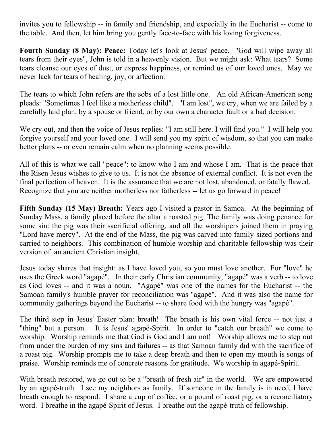invites you to fellowship -- in family and friendship, and expecially in the Eucharist -- come to the table. And then, let him bring you gently face-to-face with his loving forgiveness.

**Fourth Sunday (8 May): Peace:** Today let's look at Jesus' peace. "God will wipe away all tears from their eyes", John is told in a heavenly vision. But we might ask: What tears? Some tears cleanse our eyes of dust, or express happiness, or remind us of our loved ones. May we never lack for tears of healing, joy, or affection.

The tears to which John refers are the sobs of a lost little one. An old African-American song pleads: "Sometimes I feel like a motherless child". "I am lost", we cry, when we are failed by a carefully laid plan, by a spouse or friend, or by our own a character fault or a bad decision.

We cry out, and then the voice of Jesus replies: "I am still here. I will find you." I will help you forgive yourself and your loved one. I will send you my spirit of wisdom, so that you can make better plans -- or even remain calm when no planning seems possible.

All of this is what we call "peace": to know who I am and whose I am. That is the peace that the Risen Jesus wishes to give to us. It is not the absence of external conflict. It is not even the final perfection of heaven. It is the assurance that we are not lost, abandoned, or fatally flawed. Recognize that you are neither motherless nor fatherless -- let us go forward in peace!

**Fifth Sunday (15 May) Breath:** Years ago I visited a pastor in Samoa. At the beginning of Sunday Mass, a family placed before the altar a roasted pig. The family was doing penance for some sin: the pig was their sacrificial offering, and all the worshipers joined them in praying "Lord have mercy". At the end of the Mass, the pig was carved into family-sized portions and carried to neighbors. This combination of humble worship and charitable fellowship was their version of an ancient Christian insight.

Jesus today shares that insight: as I have loved you, so you must love another. For "love" he uses the Greek word "agapé". In their early Christian community, "agapé" was a verb -- to love as God loves -- and it was a noun. "Agapé" was one of the names for the Eucharist -- the Samoan family's humble prayer for reconciliation was "agapé". And it was also the name for community gatherings beyond the Eucharist -- to share food with the hungry was "agapé".

The third step in Jesus' Easter plan: breath! The breath is his own vital force -- not just a "thing" but a person. It is Jesus' agapé-Spirit. In order to "catch our breath" we come to worship. Worship reminds me that God is God and I am not! Worship allows me to step out from under the burden of my sins and failures -- as that Samoan family did with the sacrifice of a roast pig. Worship prompts me to take a deep breath and then to open my mouth is songs of praise. Worship reminds me of concrete reasons for gratitude. We worship in agapé-Spirit.

With breath restored, we go out to be a "breath of fresh air" in the world. We are empowered by an agapé-truth. I see my neighbors as family. If someone in the family is in need, I have breath enough to respond. I share a cup of coffee, or a pound of roast pig, or a reconciliatory word. I breathe in the agapé-Spirit of Jesus. I breathe out the agapé-truth of fellowship.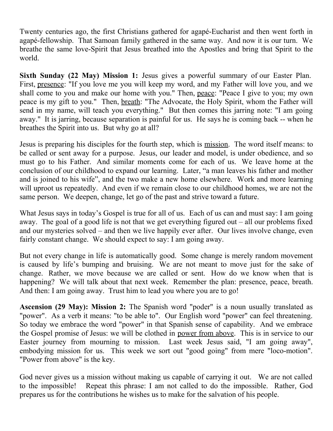Twenty centuries ago, the first Christians gathered for agapé-Eucharist and then went forth in agapé-fellowship. That Samoan family gathered in the same way. And now it is our turn. We breathe the same love-Spirit that Jesus breathed into the Apostles and bring that Spirit to the world.

**Sixth Sunday (22 May) Mission 1:** Jesus gives a powerful summary of our Easter Plan. First, presence: "If you love me you will keep my word, and my Father will love you, and we shall come to you and make our home with you." Then, peace: "Peace I give to you; my own peace is my gift to you." Then, breath: "The Advocate, the Holy Spirit, whom the Father will send in my name, will teach you everything." But then comes this jarring note: "I am going away." It is jarring, because separation is painful for us. He says he is coming back -- when he breathes the Spirit into us. But why go at all?

Jesus is preparing his disciples for the fourth step, which is mission. The word itself means: to be called or sent away for a purpose. Jesus, our leader and model, is under obedience, and so must go to his Father. And similar moments come for each of us. We leave home at the conclusion of our childhood to expand our learning. Later, "a man leaves his father and mother and is joined to his wife", and the two make a new home elsewhere. Work and more learning will uproot us repeatedly. And even if we remain close to our childhood homes, we are not the same person. We deepen, change, let go of the past and strive toward a future.

What Jesus says in today's Gospel is true for all of us. Each of us can and must say: I am going away. The goal of a good life is not that we get everything figured out – all our problems fixed and our mysteries solved – and then we live happily ever after. Our lives involve change, even fairly constant change. We should expect to say: I am going away.

But not every change in life is automatically good. Some change is merely random movement is caused by life's bumping and bruising. We are not meant to move just for the sake of change. Rather, we move because we are called or sent. How do we know when that is happening? We will talk about that next week. Remember the plan: presence, peace, breath. And then: I am going away. Trust him to lead you where you are to go!

**Ascension (29 May): Mission 2:** The Spanish word "poder" is a noun usually translated as "power". As a verb it means: "to be able to". Our English word "power" can feel threatening. So today we embrace the word "power" in that Spanish sense of capability. And we embrace the Gospel promise of Jesus: we will be clothed in power from above. This is in service to our Easter journey from mourning to mission. Last week Jesus said, "I am going away", embodying mission for us. This week we sort out "good going" from mere "loco-motion". "Power from above" is the key.

God never gives us a mission without making us capable of carrying it out. We are not called to the impossible! Repeat this phrase: I am not called to do the impossible. Rather, God prepares us for the contributions he wishes us to make for the salvation of his people.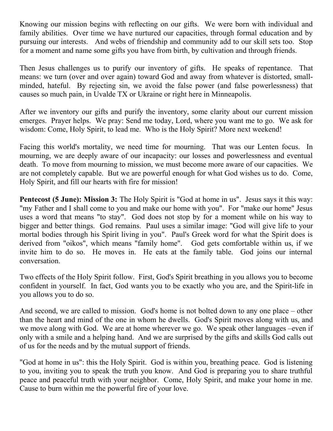Knowing our mission begins with reflecting on our gifts. We were born with individual and family abilities. Over time we have nurtured our capacities, through formal education and by pursuing our interests. And webs of friendship and community add to our skill sets too. Stop for a moment and name some gifts you have from birth, by cultivation and through friends.

Then Jesus challenges us to purify our inventory of gifts. He speaks of repentance. That means: we turn (over and over again) toward God and away from whatever is distorted, smallminded, hateful. By rejecting sin, we avoid the false power (and false powerlessness) that causes so much pain, in Uvalde TX or Ukraine or right here in Minneapolis.

After we inventory our gifts and purify the inventory, some clarity about our current mission emerges. Prayer helps. We pray: Send me today, Lord, where you want me to go. We ask for wisdom: Come, Holy Spirit, to lead me. Who is the Holy Spirit? More next weekend!

Facing this world's mortality, we need time for mourning. That was our Lenten focus. In mourning, we are deeply aware of our incapacity: our losses and powerlessness and eventual death. To move from mourning to mission, we must become more aware of our capacities. We are not completely capable. But we are powerful enough for what God wishes us to do. Come, Holy Spirit, and fill our hearts with fire for mission!

**Pentecost (5 June): Mission 3:** The Holy Spirit is "God at home in us". Jesus says it this way: "my Father and I shall come to you and make our home with you". For "make our home" Jesus uses a word that means "to stay". God does not stop by for a moment while on his way to bigger and better things. God remains. Paul uses a similar image: "God will give life to your mortal bodies through his Spirit living in you". Paul's Greek word for what the Spirit does is derived from "oikos", which means "family home". God gets comfortable within us, if we invite him to do so. He moves in. He eats at the family table. God joins our internal conversation.

Two effects of the Holy Spirit follow. First, God's Spirit breathing in you allows you to become confident in yourself. In fact, God wants you to be exactly who you are, and the Spirit-life in you allows you to do so.

And second, we are called to mission. God's home is not bolted down to any one place – other than the heart and mind of the one in whom he dwells. God's Spirit moves along with us, and we move along with God. We are at home wherever we go. We speak other languages –even if only with a smile and a helping hand. And we are surprised by the gifts and skills God calls out of us for the needs and by the mutual support of friends.

"God at home in us": this the Holy Spirit. God is within you, breathing peace. God is listening to you, inviting you to speak the truth you know. And God is preparing you to share truthful peace and peaceful truth with your neighbor. Come, Holy Spirit, and make your home in me. Cause to burn within me the powerful fire of your love.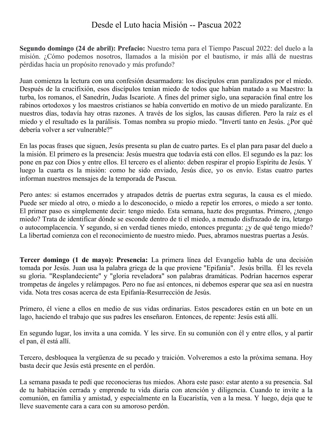## Desde el Luto hacia Misión -- Pascua 2022

**Segundo domingo (24 de abril): Prefacio:** Nuestro tema para el Tiempo Pascual 2022: del duelo a la misión. ¿Cómo podemos nosotros, llamados a la misión por el bautismo, ir más allá de nuestras pérdidas hacia un propósito renovado y más profundo?

Juan comienza la lectura con una confesión desarmadora: los discípulos eran paralizados por el miedo. Después de la crucifixión, esos discípulos tenían miedo de todos que habían matado a su Maestro: la turba, los romanos, el Sanedrín, Judas Iscariote. A fines del primer siglo, una separación final entre los rabinos ortodoxos y los maestros cristianos se había convertido en motivo de un miedo paralizante. En nuestros días, todavía hay otras razones. A través de los siglos, las causas difieren. Pero la raíz es el miedo y el resultado es la parálisis. Tomas nombra su propio miedo. "Invertí tanto en Jesús. ¿Por qué debería volver a ser vulnerable?"

En las pocas frases que siguen, Jesús presenta su plan de cuatro partes. Es el plan para pasar del duelo a la misión. El primero es la presencia: Jesús muestra que todavía está con ellos. El segundo es la paz: los pone en paz con Dios y entre ellos. El tercero es el aliento: deben respirar el propio Espíritu de Jesús. Y luego la cuarta es la misión: como he sido enviado, Jesús dice, yo os envío. Estas cuatro partes informan nuestros mensajes de la temporada de Pascua.

Pero antes: si estamos encerrados y atrapados detrás de puertas extra seguras, la causa es el miedo. Puede ser miedo al otro, o miedo a lo desconocido, o miedo a repetir los errores, o miedo a ser tonto. El primer paso es simplemente decir: tengo miedo. Esta semana, hazte dos preguntas. Primero, ¿tengo miedo? Trata de identificar dónde se esconde dentro de ti el miedo, a menudo disfrazado de ira, letargo o autocomplacencia. Y segundo, si en verdad tienes miedo, entonces pregunta: ¿y de qué tengo miedo? La libertad comienza con el reconocimiento de nuestro miedo. Pues, abramos nuestras puertas a Jesús.

**Tercer domingo (1 de mayo): Presencia:** La primera línea del Evangelio habla de una decisión tomada por Jesús. Juan usa la palabra griega de la que proviene "Epifanía". Jesús brilla. Él les revela su gloria. "Resplandeciente" y "gloria reveladora" son palabras dramáticas. Podrían hacernos esperar trompetas de ángeles y relámpagos. Pero no fue así entonces, ni debemos esperar que sea así en nuestra vida. Nota tres cosas acerca de esta Epifanía-Resurrección de Jesús.

Primero, él viene a ellos en medio de sus vidas ordinarias. Estos pescadores están en un bote en un lago, haciendo el trabajo que sus padres les enseñaron. Entonces, de repente: Jesús está allí.

En segundo lugar, los invita a una comida. Y les sirve. En su comunión con él y entre ellos, y al partir el pan, él está allí.

Tercero, desbloquea la vergüenza de su pecado y traición. Volveremos a esto la próxima semana. Hoy basta decir que Jesús está presente en el perdón.

La semana pasada te pedí que reconocieras tus miedos. Ahora este paso: estar atento a su presencia. Sal de tu habitación cerrada y emprende tu vida diaria con atención y diligencia. Cuando te invite a la comunión, en familia y amistad, y especialmente en la Eucaristía, ven a la mesa. Y luego, deja que te lleve suavemente cara a cara con su amoroso perdón.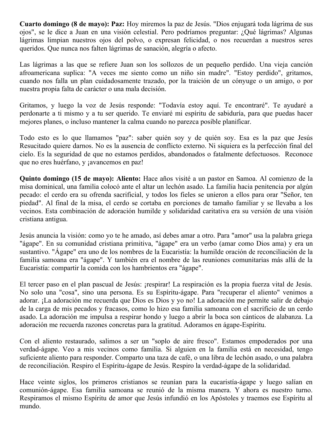**Cuarto domingo (8 de mayo): Paz:** Hoy miremos la paz de Jesús. "Dios enjugará toda lágrima de sus ojos", se le dice a Juan en una visión celestial. Pero podríamos preguntar: ¿Qué lágrimas? Algunas lágrimas limpian nuestros ojos del polvo, o expresan felicidad, o nos recuerdan a nuestros seres queridos. Que nunca nos falten lágrimas de sanación, alegría o afecto.

Las lágrimas a las que se refiere Juan son los sollozos de un pequeño perdido. Una vieja canción afroamericana suplica: "A veces me siento como un niño sin madre". "Estoy perdido", gritamos, cuando nos falla un plan cuidadosamente trazado, por la traición de un cónyuge o un amigo, o por nuestra propia falta de carácter o una mala decisión.

Gritamos, y luego la voz de Jesús responde: "Todavía estoy aquí. Te encontraré". Te ayudaré a perdonarte a ti mismo y a tu ser querido. Te enviaré mi espíritu de sabiduría, para que puedas hacer mejores planes, o incluso mantener la calma cuando no parezca posible planificar.

Todo esto es lo que llamamos "paz": saber quién soy y de quién soy. Esa es la paz que Jesús Resucitado quiere darnos. No es la ausencia de conflicto externo. Ni siquiera es la perfección final del cielo. Es la seguridad de que no estamos perdidos, abandonados o fatalmente defectuosos. Reconoce que no eres huérfano, y ¡avancemos en paz!

**Quinto domingo (15 de mayo): Aliento:** Hace años visité a un pastor en Samoa. Al comienzo de la misa dominical, una familia colocó ante el altar un lechón asado. La familia hacia penitencia por algún pecado: el cerdo era su ofrenda sacrificial, y todos los fieles se unieron a ellos para orar "Señor, ten piedad". Al final de la misa, el cerdo se cortaba en porciones de tamaño familiar y se llevaba a los vecinos. Esta combinación de adoración humilde y solidaridad caritativa era su versión de una visión cristiana antigua.

Jesús anuncia la visión: como yo te he amado, así debes amar a otro. Para "amor" usa la palabra griega "ágape". En su comunidad cristiana primitiva, "ágape" era un verbo (amar como Dios ama) y era un sustantivo. "Ágape" era uno de los nombres de la Eucaristía: la humilde oración de reconciliación de la familia samoana era "ágape". Y también era el nombre de las reuniones comunitarias más allá de la Eucaristía: compartir la comida con los hambrientos era "ágape".

El tercer paso en el plan pascual de Jesús: ¡respirar! La respiración es la propia fuerza vital de Jesús. No solo una "cosa", sino una persona. Es su Espíritu-ágape. Para "recuperar el aliento" venimos a adorar. ¡La adoración me recuerda que Dios es Dios y yo no! La adoración me permite salir de debajo de la carga de mis pecados y fracasos, como lo hizo esa familia samoana con el sacrificio de un cerdo asado. La adoración me impulsa a respirar hondo y luego a abrir la boca son cánticos de alabanza. La adoración me recuerda razones concretas para la gratitud. Adoramos en ágape-Espíritu.

Con el aliento restaurado, salimos a ser un "soplo de aire fresco". Estamos empoderados por una verdad-ágape. Veo a mis vecinos como familia. Si alguien en la familia está en necesidad, tengo suficiente aliento para responder. Comparto una taza de café, o una libra de lechón asado, o una palabra de reconciliación. Respiro el Espíritu-ágape de Jesús. Respiro la verdad-ágape de la solidaridad.

Hace veinte siglos, los primeros cristianos se reunían para la eucaristía-ágape y luego salían en comunión-ágape. Esa familia samoana se reunió de la misma manera. Y ahora es nuestro turno. Respiramos el mismo Espíritu de amor que Jesús infundió en los Apóstoles y traemos ese Espíritu al mundo.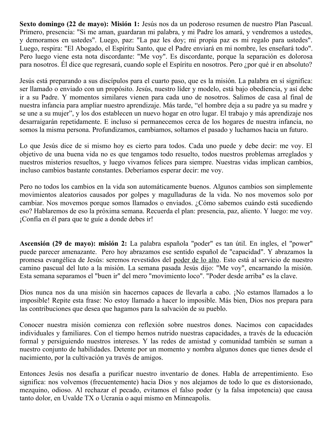**Sexto domingo (22 de mayo): Misión 1:** Jesús nos da un poderoso resumen de nuestro Plan Pascual. Primero, presencia: "Si me aman, guardaran mi palabra, y mi Padre los amará, y vendremos a ustedes, y demoramos en ustedes". Luego, paz: "La paz les doy; mi propia paz es mi regalo para ustedes". Luego, respira: "El Abogado, el Espíritu Santo, que el Padre enviará en mi nombre, les enseñará todo". Pero luego viene esta nota discordante: "Me voy". Es discordante, porque la separación es dolorosa para nosotros. Él dice que regresará, cuando sople el Espíritu en nosotros. Pero ¿por qué ir en absoluto?

Jesús está preparando a sus discípulos para el cuarto paso, que es la misión. La palabra en sí significa: ser llamado o enviado con un propósito. Jesús, nuestro líder y modelo, está bajo obediencia, y así debe ir a su Padre. Y momentos similares vienen para cada uno de nosotros. Salimos de casa al final de nuestra infancia para ampliar nuestro aprendizaje. Más tarde, "el hombre deja a su padre ya su madre y se une a su mujer", y los dos establecen un nuevo hogar en otro lugar. El trabajo y más aprendizaje nos desarraigarán repetidamente. E incluso si permanecemos cerca de los hogares de nuestra infancia, no somos la misma persona. Profundizamos, cambiamos, soltamos el pasado y luchamos hacia un futuro.

Lo que Jesús dice de si mismo hoy es cierto para todos. Cada uno puede y debe decir: me voy. El objetivo de una buena vida no es que tengamos todo resuelto, todos nuestros problemas arreglados y nuestros misterios resueltos, y luego vivamos felices para siempre. Nuestras vidas implican cambios, incluso cambios bastante constantes. Deberíamos esperar decir: me voy.

Pero no todos los cambios en la vida son automáticamente buenos. Algunos cambios son simplemente movimientos aleatorios causados por golpes y magulladuras de la vida. No nos movemos solo por cambiar. Nos movemos porque somos llamados o enviados. ¿Cómo sabemos cuándo está sucediendo eso? Hablaremos de eso la próxima semana. Recuerda el plan: presencia, paz, aliento. Y luego: me voy. ¡Confía en él para que te guíe a donde debes ir!

**Ascensión (29 de mayo): misión 2:** La palabra española "poder" es tan útil. En ingles, el "power" puede parecer amenazante. Pero hoy abrazamos ese sentido español de "capacidad". Y abrazamos la promesa evangélica de Jesús: seremos revestidos del poder de lo alto. Esto está al servicio de nuestro camino pascual del luto a la misión. La semana pasada Jesús dijo: "Me voy", encarnando la misión. Esta semana separamos el "buen ir" del mero "movimiento loco". "Poder desde arriba" es la clave.

Dios nunca nos da una misión sin hacernos capaces de llevarla a cabo. ¡No estamos llamados a lo imposible! Repite esta frase: No estoy llamado a hacer lo imposible. Más bien, Dios nos prepara para las contribuciones que desea que hagamos para la salvación de su pueblo.

Conocer nuestra misión comienza con reflexión sobre nuestros dones. Nacimos con capacidades individuales y familiares. Con el tiempo hemos nutrido nuestras capacidades, a través de la educación formal y persiguiendo nuestros intereses. Y las redes de amistad y comunidad también se suman a nuestro conjunto de habilidades. Detente por un momento y nombra algunos dones que tienes desde el nacimiento, por la cultivación ya través de amigos.

Entonces Jesús nos desafía a purificar nuestro inventario de dones. Habla de arrepentimiento. Eso significa: nos volvemos (frecuentemente) hacia Dios y nos alejamos de todo lo que es distorsionado, mezquino, odioso. Al rechazar el pecado, evitamos el falso poder (y la falsa impotencia) que causa tanto dolor, en Uvalde TX o Ucrania o aquí mismo en Minneapolis.